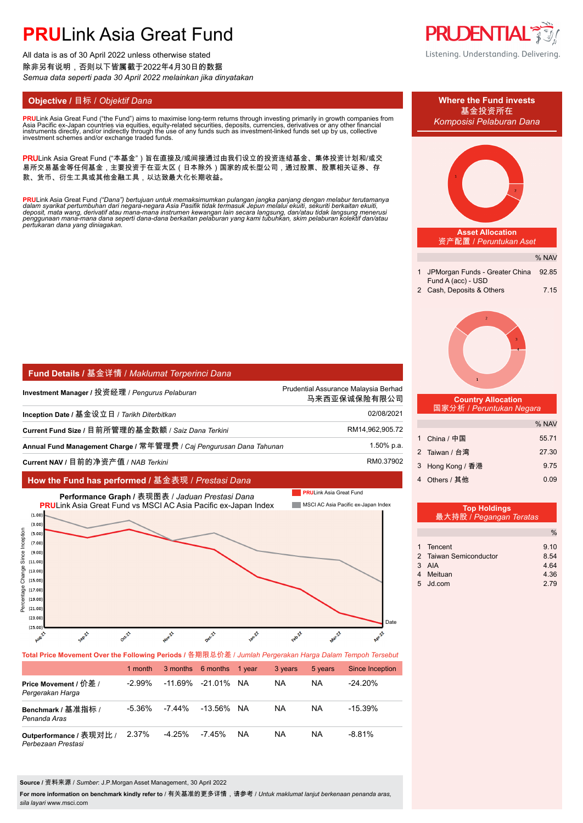# **PRU**Link Asia Great Fund

All data is as of 30 April 2022 unless otherwise stated 除非另有说明,否则以下皆属截于2022年4月30日的数据 *Semua data seperti pada 30 April 2022 melainkan jika dinyatakan*

**PRU**Link Asia Great Fund ("the Fund") aims to maximise long-term returns through investing primarily in growth companies from<br>Asia Pacific ex-Japan countries via equities, equity-related securities, deposits, currencies,

PRULink Asia Great Fund ("本基金")旨在直接及/或间接通过由我们设立的投资连结基金、集体投资计划和/或交 易所交易基金等任何基金,主要投资于在亚太区(日本除外)国家的成长型公司,通过股票、股票相关证券、存 款、货币、衍生工具或其他金融工具,以达致最大化长期收益。

<mark>PRU</mark>Link Asia Great Fund ("Dana") bertujuan untuk memaksimumkan pulangan jangka panjang dengan melabur terutamanya<br>dalam syarikat pertumbuhan dari negara-negara Asia Pasifik tidak termasuk Jepun melalui ekuiti, sekuriti b *pertukaran dana yang diniagakan.*

| Fund Details / 基金详情 / Maklumat Terperinci Dana                      |                                                      |  |  |  |  |  |  |
|---------------------------------------------------------------------|------------------------------------------------------|--|--|--|--|--|--|
| Investment Manager / 投资经理 / Pengurus Pelaburan                      | Prudential Assurance Malaysia Berhad<br>马来西亚保诚保险有限公司 |  |  |  |  |  |  |
| Inception Date / 基金设立日 / Tarikh Diterbitkan                         | 02/08/2021                                           |  |  |  |  |  |  |
| Current Fund Size / 目前所管理的基金数额 / Saiz Dana Terkini                  | RM14,962,905.72                                      |  |  |  |  |  |  |
| Annual Fund Management Charge / 常年管理费 / Caj Pengurusan Dana Tahunan | 1.50% p.a.                                           |  |  |  |  |  |  |
| Current NAV / 目前的净资产值 / NAB Terkini                                 | RM0.37902                                            |  |  |  |  |  |  |

### **How the Fund has performed /** 基金表现 / *Prestasi Dana*



**PRUDENTIAI** Listening. Understanding. Delivering.



|  | 1 Tencent              | 9.10 |
|--|------------------------|------|
|  | 2 Taiwan Semiconductor | 8.54 |
|  | 3 AIA                  | 4.64 |
|  | 4 Meituan              | 4.36 |
|  | 5 Jd.com               | 2.79 |

**Total Price Movement Over the Following Periods /** 各期限总价差 / *Jumlah Pergerakan Harga Dalam Tempoh Tersebut*

|                                               | 1 month   |        | 3 months 6 months 1 year |           | 3 years   | 5 years | Since Inception |
|-----------------------------------------------|-----------|--------|--------------------------|-----------|-----------|---------|-----------------|
| Price Movement / 价差 /<br>Pergerakan Harga     | $-2.99\%$ |        | -11.69% -21.01% NA       |           | NA.       | NA.     | $-24.20\%$      |
| Benchmark / 基准指标 /<br>Penanda Aras            | -5.36%    | -7 44% | -13.56% NA               |           | <b>NA</b> | NA.     | $-15.39\%$      |
| Outperformance / 表现对比 /<br>Perbezaan Prestasi | 2.37%     | -4.25% | $-7.45\%$                | <b>NA</b> | <b>NA</b> | NA.     | $-8.81%$        |

**Source /** 资料来源 / *Sumber*: J.P.Morgan Asset Management, 30 April 2022

**For more information on benchmark kindly refer to** / 有关基准的更多详情,请参考 / *Untuk maklumat lanjut berkenaan penanda aras, sila layari* www.msci.com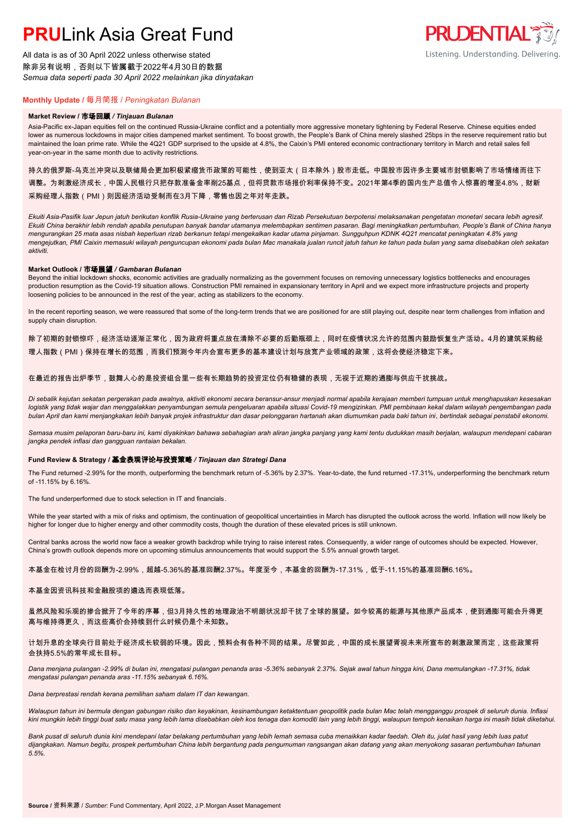# **PRU**Link Asia Great Fund

All data is as of 30 April 2022 unless otherwise stated 除非另有说明,否则以下皆属截于2022年4月30日的数据 *Semua data seperti pada 30 April 2022 melainkan jika dinyatakan*



## **Monthly Update /** 每月简报 / *Peningkatan Bulanan*

#### **Market Review /** 市场回顾 */ Tinjauan Bulanan*

Asia-Pacific ex-Japan equities fell on the continued Russia-Ukraine conflict and a potentially more aggressive monetary tightening by Federal Reserve. Chinese equities ended lower as numerous lockdowns in major cities dampened market sentiment. To boost growth, the People's Bank of China merely slashed 25bps in the reserve requirement ratio but maintained the loan prime rate. While the 4Q21 GDP surprised to the upside at 4.8%, the Caixin's PMI entered economic contractionary territory in March and retail sales fell year-on-year in the same month due to activity restrictions.

### 持久的俄罗斯-乌克兰冲突以及联储局会更加积极紧缩货币政策的可能性,使到亚太(日本除外)股市走低。中国股市因许多主要城市封锁影响了市场情绪而往下 调整。为刺激经济成长,中国人民银行只把存款准备金率削25基点,但将贷款市场报价利率保持不变。2021年第4季的国内生产总值令人惊喜的增至4.8%,财新 采购经理人指数(PMI)则因经济活动受制而在3月下降,零售也因之年对年走跌。

*Ekuiti Asia-Pasifik luar Jepun jatuh berikutan konflik Rusia-Ukraine yang berterusan dan Rizab Persekutuan berpotensi melaksanakan pengetatan monetari secara lebih agresif. Ekuiti China berakhir lebih rendah apabila penutupan banyak bandar utamanya melembapkan sentimen pasaran. Bagi meningkatkan pertumbuhan, People's Bank of China hanya mengurangkan 25 mata asas nisbah keperluan rizab berkanun tetapi mengekalkan kadar utama pinjaman. Sungguhpun KDNK 4Q21 mencatat peningkatan 4.8% yang mengejutkan, PMI Caixin memasuki wilayah penguncupan ekonomi pada bulan Mac manakala jualan runcit jatuh tahun ke tahun pada bulan yang sama disebabkan oleh sekatan aktiviti.*

#### **Market Outlook /** 市场展望 */ Gambaran Bulanan*

Beyond the initial lockdown shocks, economic activities are gradually normalizing as the government focuses on removing unnecessary logistics bottlenecks and encourages production resumption as the Covid-19 situation allows. Construction PMI remained in expansionary territory in April and we expect more infrastructure projects and property loosening policies to be announced in the rest of the year, acting as stabilizers to the economy.

In the recent reporting season, we were reassured that some of the long-term trends that we are positioned for are still playing out, despite near term challenges from inflation and supply chain disruption.

除了初期的封锁惊吓,经济活动逐渐正常化,因为政府将重点放在清除不必要的后勤瓶颈上,同时在疫情状况允许的范围内鼓励恢复生产活动。4月的建筑采购经 理人指数(PMI)保持在增长的范围,而我们预测今年内会宣布更多的基本建设计划与放宽产业领域的政策,这将会使经济稳定下来。

#### 在最近的报告出炉季节,鼓舞人心的是投资组合里一些有长期趋势的投资定位仍有稳健的表现,无视于近期的通膨与供应干扰挑战。

*Di sebalik kejutan sekatan pergerakan pada awalnya, aktiviti ekonomi secara beransur-ansur menjadi normal apabila kerajaan memberi tumpuan untuk menghapuskan kesesakan logistik yang tidak wajar dan menggalakkan penyambungan semula pengeluaran apabila situasi Covid-19 mengizinkan. PMI pembinaan kekal dalam wilayah pengembangan pada bulan April dan kami menjangkakan lebih banyak projek infrastruktur dan dasar pelonggaran hartanah akan diumumkan pada baki tahun ini, bertindak sebagai penstabil ekonomi.*

*Semasa musim pelaporan baru-baru ini, kami diyakinkan bahawa sebahagian arah aliran jangka panjang yang kami tentu dudukkan masih berjalan, walaupun mendepani cabaran jangka pendek inflasi dan gangguan rantaian bekalan.*

### **Fund Review & Strategy /** 基金表现评论与投资策略 */ Tinjauan dan Strategi Dana*

The Fund returned -2.99% for the month, outperforming the benchmark return of -5.36% by 2.37%. Year-to-date, the fund returned -17.31%, underperforming the benchmark return of -11.15% by 6.16%.

The fund underperformed due to stock selection in IT and financials.

While the year started with a mix of risks and optimism, the continuation of geopolitical uncertainties in March has disrupted the outlook across the world. Inflation will now likely be higher for longer due to higher energy and other commodity costs, though the duration of these elevated prices is still unknown.

Central banks across the world now face a weaker growth backdrop while trying to raise interest rates. Consequently, a wider range of outcomes should be expected. However, China's growth outlook depends more on upcoming stimulus announcements that would support the 5.5% annual growth target.

本基金在检讨月份的回酬为-2.99%,超越-5.36%的基准回酬2.37%。年度至今,本基金的回酬为-17.31%,低于-11.15%的基准回酬6.16%。

#### 本基金因资讯科技和金融股项的遴选而表现低落。

虽然风险和乐观的掺合掀开了今年的序幕,但3月持久性的地理政治不明朗状况却干扰了全球的展望。如今较高的能源与其他原产品成本,使到通膨可能会升得更 高与维持得更久,而这些高价会持续到什么时候仍是个未知数。

#### 计划升息的全球央行目前处于经济成长较弱的环境。因此,预料会有各种不同的结果。尽管如此,中国的成长展望胥视未来所宣布的刺激政策而定,这些政策将 会扶持5.5%的常年成长目标。

*Dana menjana pulangan -2.99% di bulan ini, mengatasi pulangan penanda aras -5.36% sebanyak 2.37%. Sejak awal tahun hingga kini, Dana memulangkan -17.31%, tidak mengatasi pulangan penanda aras -11.15% sebanyak 6.16%.*

*Dana berprestasi rendah kerana pemilihan saham dalam IT dan kewangan.*

*Walaupun tahun ini bermula dengan gabungan risiko dan keyakinan, kesinambungan ketaktentuan geopolitik pada bulan Mac telah mengganggu prospek di seluruh dunia. Inflasi kini mungkin lebih tinggi buat satu masa yang lebih lama disebabkan oleh kos tenaga dan komoditi lain yang lebih tinggi, walaupun tempoh kenaikan harga ini masih tidak diketahui.*

*Bank pusat di seluruh dunia kini mendepani latar belakang pertumbuhan yang lebih lemah semasa cuba menaikkan kadar faedah. Oleh itu, julat hasil yang lebih luas patut dijangkakan. Namun begitu, prospek pertumbuhan China lebih bergantung pada pengumuman rangsangan akan datang yang akan menyokong sasaran pertumbuhan tahunan 5.5%.*